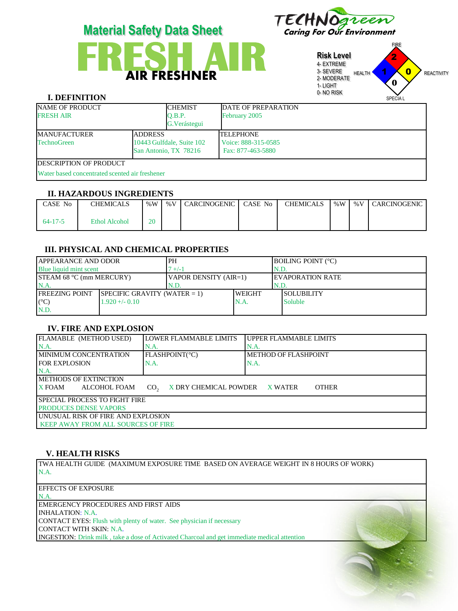



#### **Risk Level** 4- EXTREME 3- SEVERE 2- MODERATE 1- LIGHT 0- NO RISK FIRE HEALTH **1 X 0** REACTIVITY SPECIA L 1 2  $\overline{\mathbf{0}}$ **0**

## **I. DEFINITION**

| <b>NAME OF PRODUCT</b><br><b>FRESH AIR</b>     |  | <b>CHEMIST</b>                                     | DATE OF PREPARATION                      |  |  |  |  |
|------------------------------------------------|--|----------------------------------------------------|------------------------------------------|--|--|--|--|
|                                                |  | O.B.P.<br>G. Verástegui                            | February 2005                            |  |  |  |  |
| <b>ADDRESS</b><br><b>IMANUFACTURER</b>         |  |                                                    | <b>TELEPHONE</b>                         |  |  |  |  |
| <b>TechnoGreen</b>                             |  | 10443 Gulfdale, Suite 102<br>San Antonio, TX 78216 | Voice: 888-315-0585<br>Fax: 877-463-5880 |  |  |  |  |
| <b>IDESCRIPTION OF PRODUCT</b>                 |  |                                                    |                                          |  |  |  |  |
| Water based concentrated scented air freshener |  |                                                    |                                          |  |  |  |  |

#### **II. HAZARDOUS INGREDIENTS**

| CASE No | <b>CHEMICALS</b>     | % $W$ | %V CARCINOGENIC CASE No | <b>CHEMICALS</b> |  | %W   %V   CARCINOGENIC |
|---------|----------------------|-------|-------------------------|------------------|--|------------------------|
| 64-17-5 | <b>Ethol Alcohol</b> | 20    |                         |                  |  |                        |

## **III. PHYSICAL AND CHEMICAL PROPERTIES**

| <b>JAPPEARANCE AND ODOR</b>     |                                 | PH                    |               |      | <b>IBOILING POINT (°C)</b> |  |
|---------------------------------|---------------------------------|-----------------------|---------------|------|----------------------------|--|
| Blue liquid mint scent          |                                 | $+/-1$                |               |      | N.D.                       |  |
| <b>STEAM 68 °C (mm MERCURY)</b> |                                 | VAPOR DENSITY (AIR=1) |               |      | <b>IEVAPORATION RATE</b>   |  |
| N.A                             |                                 | N.D.                  |               | N.D. |                            |  |
| <b>IFREEZING POINT</b>          | SPECIFIC GRAVITY (WATER $= 1$ ) |                       | <b>WEIGHT</b> |      | <b>ISOLUBILITY</b>         |  |
| $(C^{\circ}C)$                  | $1.920 + -0.10$                 |                       | N.A.          |      | <b>Soluble</b>             |  |
| N.D.                            |                                 |                       |               |      |                            |  |

## **IV. FIRE AND EXPLOSION**

| FLAMABLE (METHOD USED)                                                                          | <b>LOWER FLAMMABLE LIMITS</b> | UPPER FLAMMABLE LIMITS |  |  |  |  |  |
|-------------------------------------------------------------------------------------------------|-------------------------------|------------------------|--|--|--|--|--|
| $NA$ .                                                                                          | N.A.                          | IN.A.                  |  |  |  |  |  |
| <b>IMINIMUM CONCENTRATION</b>                                                                   | FLASHPOINT(°C)                | METHOD OF FLASHPOINT   |  |  |  |  |  |
| <b>IFOR EXPLOSION</b>                                                                           | N.A.                          | N.A.                   |  |  |  |  |  |
| N.A                                                                                             |                               |                        |  |  |  |  |  |
| <b>IMETHODS OF EXTINCTION</b>                                                                   |                               |                        |  |  |  |  |  |
| $X$ FOAM<br>X DRY CHEMICAL POWDER<br>ALCOHOL FOAM<br><b>OTHER</b><br>CO <sub>2</sub><br>X WATER |                               |                        |  |  |  |  |  |
| <b>ISPECIAL PROCESS TO FIGHT FIRE</b>                                                           |                               |                        |  |  |  |  |  |
| <b>PRODUCES DENSE VAPORS</b>                                                                    |                               |                        |  |  |  |  |  |
| UNUSUAL RISK OF FIRE AND EXPLOSION                                                              |                               |                        |  |  |  |  |  |
| KEEP AWAY FROM ALL SOURCES OF FIRE                                                              |                               |                        |  |  |  |  |  |

#### **V. HEALTH RISKS**

TWA HEALTH GUIDE (MAXIMUM EXPOSURE TIME BASED ON AVERAGE WEIGHT IN 8 HOURS OF WORK) N.A.

| <b>EFFECTS OF EXPOSURE</b>                                                                          |  |
|-----------------------------------------------------------------------------------------------------|--|
| N.A.                                                                                                |  |
| EMERGENCY PROCEDURES AND FIRST AIDS                                                                 |  |
| INHALATION: N.A.                                                                                    |  |
| <b>CONTACT EYES:</b> Flush with plenty of water. See physician if necessary                         |  |
| CONTACT WITH SKIN: N.A.                                                                             |  |
| <b>INGESTION:</b> Drink milk, take a dose of Activated Charcoal and get immediate medical attention |  |